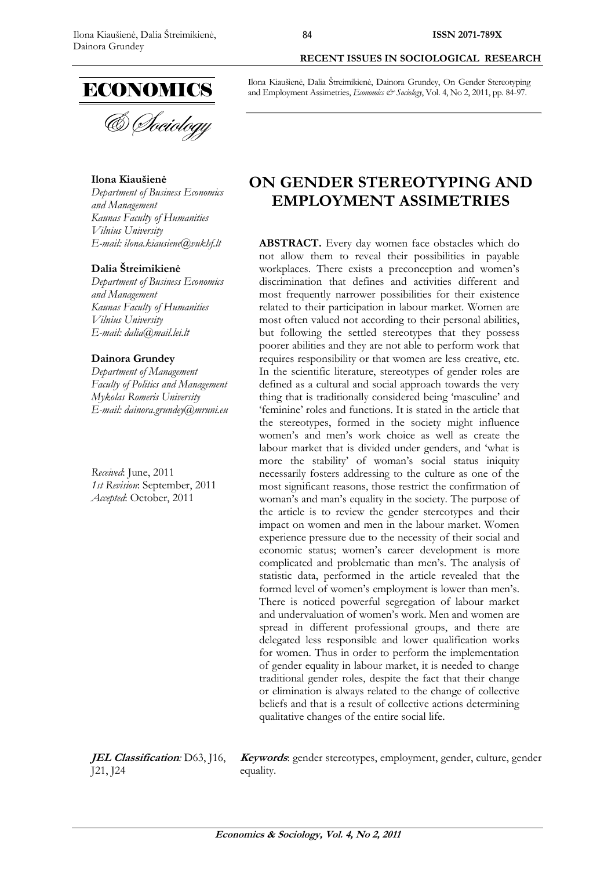

### **Ilona Kiaušienė**

*Department of Business Economics and Management Kaunas Faculty of Humanities Vilnius University E-mail: ilona.kiausiene@vukhf.lt*

### **Dalia Štreimikienė**

*Department of Business Economics and Management Kaunas Faculty of Humanities Vilnius University E-mail: [dalia@mail.lei.lt](mailto:dalia@mail.lei.lt)*

#### **Dainora Grundey**

*Department of Management Faculty of Politics and Management Mykolas Romeris University E-mail: dainora.grundey@mruni.eu*

*Received*: June, 2011 *1st Revision*: September, 2011 *Accepted*: October, 2011

Ilona Kiaušienė, Dalia Štreimikienė, Dainora Grundey, On Gender Stereotyping

and Employment Assimetries, *Economics & Sociology*, Vol. 4, No 2, 2011, pp. 84-97.

**RECENT ISSUES IN SOCIOLOGICAL RESEARCH**

# **ON GENDER STEREOTYPING AND EMPLOYMENT ASSIMETRIES**

**ABSTRACT.** Every day women face obstacles which do not allow them to reveal their possibilities in payable workplaces. There exists a preconception and women's discrimination that defines and activities different and most frequently narrower possibilities for their existence related to their participation in labour market. Women are most often valued not according to their personal abilities, but following the settled stereotypes that they possess poorer abilities and they are not able to perform work that requires responsibility or that women are less creative, etc. In the scientific literature, stereotypes of gender roles are defined as a cultural and social approach towards the very thing that is traditionally considered being 'masculine' and 'feminine' roles and functions. It is stated in the article that the stereotypes, formed in the society might influence women's and men's work choice as well as create the labour market that is divided under genders, and 'what is more the stability' of woman's social status iniquity necessarily fosters addressing to the culture as one of the most significant reasons, those restrict the confirmation of woman's and man's equality in the society. The purpose of the article is to review the gender stereotypes and their impact on women and men in the labour market. Women experience pressure due to the necessity of their social and economic status; women's career development is more complicated and problematic than men's. The analysis of statistic data, performed in the article revealed that the formed level of women's employment is lower than men's. There is noticed powerful segregation of labour market and undervaluation of women's work. Men and women are spread in different professional groups, and there are delegated less responsible and lower qualification works for women. Thus in order to perform the implementation of gender equality in labour market, it is needed to change traditional gender roles, despite the fact that their change or elimination is always related to the change of collective beliefs and that is a result of collective actions determining qualitative changes of the entire social life.

**JEL Classification***:* D63, J16, J21, J24

**Keywords**: gender stereotypes, employment, gender, culture, gender equality.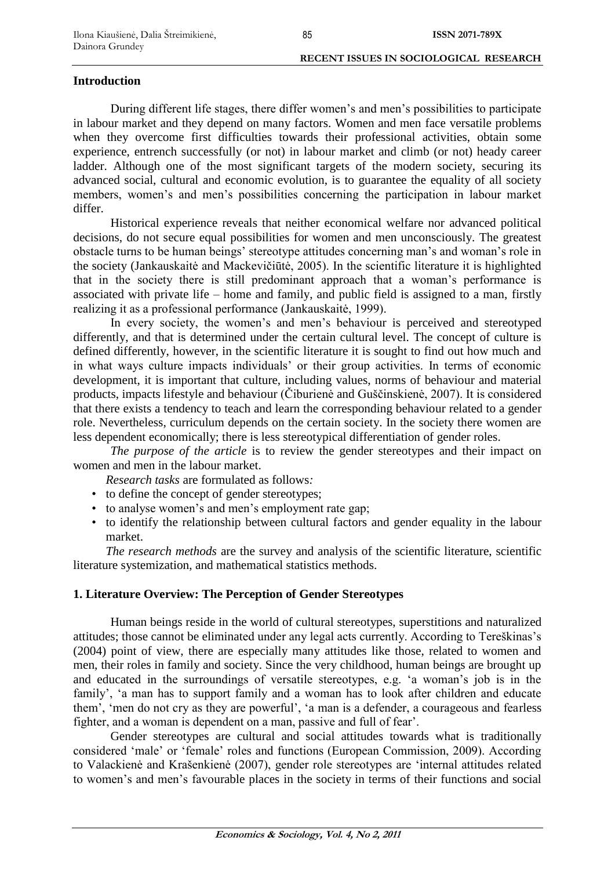### **Introduction**

During different life stages, there differ women's and men's possibilities to participate in labour market and they depend on many factors. Women and men face versatile problems when they overcome first difficulties towards their professional activities, obtain some experience, entrench successfully (or not) in labour market and climb (or not) heady career ladder. Although one of the most significant targets of the modern society, securing its advanced social, cultural and economic evolution, is to guarantee the equality of all society members, women's and men's possibilities concerning the participation in labour market differ.

Historical experience reveals that neither economical welfare nor advanced political decisions, do not secure equal possibilities for women and men unconsciously. The greatest obstacle turns to be human beings' stereotype attitudes concerning man's and woman's role in the society (Jankauskaitė and Mackevičiūtė, 2005). In the scientific literature it is highlighted that in the society there is still predominant approach that a woman's performance is associated with private life – home and family, and public field is assigned to a man, firstly realizing it as a professional performance (Jankauskaitė, 1999).

In every society, the women's and men's behaviour is perceived and stereotyped differently, and that is determined under the certain cultural level. The concept of culture is defined differently, however, in the scientific literature it is sought to find out how much and in what ways culture impacts individuals' or their group activities. In terms of economic development, it is important that culture, including values, norms of behaviour and material products, impacts lifestyle and behaviour (Čiburienė and Guščinskienė, 2007). It is considered that there exists a tendency to teach and learn the corresponding behaviour related to a gender role. Nevertheless, curriculum depends on the certain society. In the society there women are less dependent economically; there is less stereotypical differentiation of gender roles.

*The purpose of the article* is to review the gender stereotypes and their impact on women and men in the labour market.

*Research tasks* are formulated as follows*:*

- to define the concept of gender stereotypes;
- to analyse women's and men's employment rate gap;
- to identify the relationship between cultural factors and gender equality in the labour market.

*The research methods* are the survey and analysis of the scientific literature, scientific literature systemization, and mathematical statistics methods.

### **1. Literature Overview: The Perception of Gender Stereotypes**

Human beings reside in the world of cultural stereotypes, superstitions and naturalized attitudes; those cannot be eliminated under any legal acts currently. According to Tereškinas's (2004) point of view, there are especially many attitudes like those, related to women and men, their roles in family and society. Since the very childhood, human beings are brought up and educated in the surroundings of versatile stereotypes, e.g. 'a woman's job is in the family', 'a man has to support family and a woman has to look after children and educate them', 'men do not cry as they are powerful', 'a man is a defender, a courageous and fearless fighter, and a woman is dependent on a man, passive and full of fear'.

Gender stereotypes are cultural and social attitudes towards what is traditionally considered 'male' or 'female' roles and functions (European Commission, 2009). According to Valackienė and Krašenkienė (2007), gender role stereotypes are 'internal attitudes related to women's and men's favourable places in the society in terms of their functions and social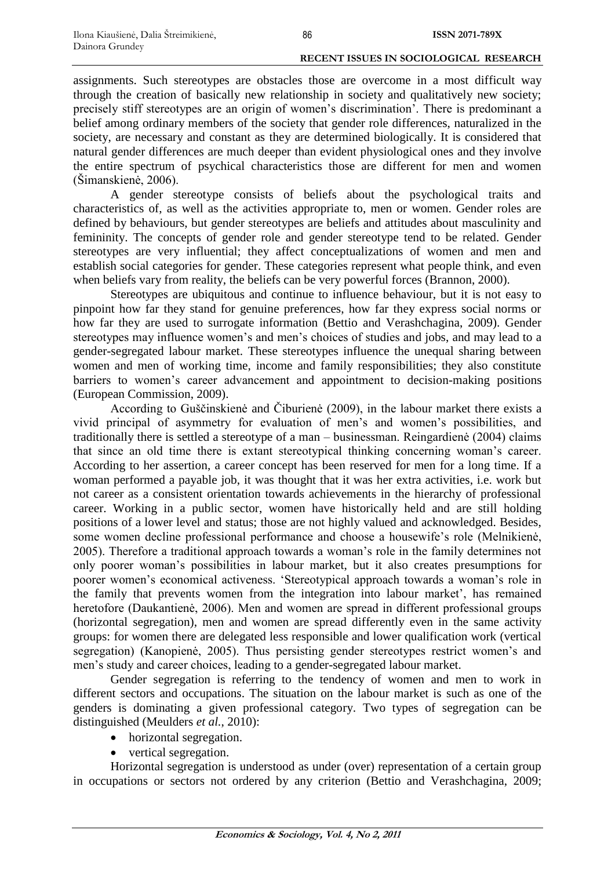assignments. Such stereotypes are obstacles those are overcome in a most difficult way through the creation of basically new relationship in society and qualitatively new society; precisely stiff stereotypes are an origin of women's discrimination'. There is predominant a belief among ordinary members of the society that gender role differences, naturalized in the society, are necessary and constant as they are determined biologically. It is considered that natural gender differences are much deeper than evident physiological ones and they involve the entire spectrum of psychical characteristics those are different for men and women (Šimanskienė, 2006).

A gender stereotype consists of beliefs about the psychological traits and characteristics of, as well as the activities appropriate to, men or women. Gender roles are defined by behaviours, but gender stereotypes are beliefs and attitudes about masculinity and femininity. The concepts of gender role and gender stereotype tend to be related. Gender stereotypes are very influential; they affect conceptualizations of women and men and establish social categories for gender. These categories represent what people think, and even when beliefs vary from reality, the beliefs can be very powerful forces (Brannon, 2000).

Stereotypes are ubiquitous and continue to influence behaviour, but it is not easy to pinpoint how far they stand for genuine preferences, how far they express social norms or how far they are used to surrogate information (Bettio and Verashchagina, 2009). Gender stereotypes may influence women's and men's choices of studies and jobs, and may lead to a gender-segregated labour market. These stereotypes influence the unequal sharing between women and men of working time, income and family responsibilities; they also constitute barriers to women's career advancement and appointment to decision-making positions (European Commission, 2009).

According to Guščinskienė and Čiburienė (2009), in the labour market there exists a vivid principal of asymmetry for evaluation of men's and women's possibilities, and traditionally there is settled a stereotype of a man – businessman. Reingardienė (2004) claims that since an old time there is extant stereotypical thinking concerning woman's career. According to her assertion, a career concept has been reserved for men for a long time. If a woman performed a payable job, it was thought that it was her extra activities, i.e. work but not career as a consistent orientation towards achievements in the hierarchy of professional career. Working in a public sector, women have historically held and are still holding positions of a lower level and status; those are not highly valued and acknowledged. Besides, some women decline professional performance and choose a housewife's role (Melnikienė, 2005). Therefore a traditional approach towards a woman's role in the family determines not only poorer woman's possibilities in labour market, but it also creates presumptions for poorer women's economical activeness. 'Stereotypical approach towards a woman's role in the family that prevents women from the integration into labour market', has remained heretofore (Daukantienė, 2006). Men and women are spread in different professional groups (horizontal segregation), men and women are spread differently even in the same activity groups: for women there are delegated less responsible and lower qualification work (vertical segregation) (Kanopienė, 2005). Thus persisting gender stereotypes restrict women's and men's study and career choices, leading to a gender-segregated labour market.

Gender segregation is referring to the tendency of women and men to work in different sectors and occupations. The situation on the labour market is such as one of the genders is dominating a given professional category. Two types of segregation can be distinguished (Meulders *et al.*, 2010):

- horizontal segregation.
- vertical segregation.

Horizontal segregation is understood as under (over) representation of a certain group in occupations or sectors not ordered by any criterion (Bettio and Verashchagina, 2009;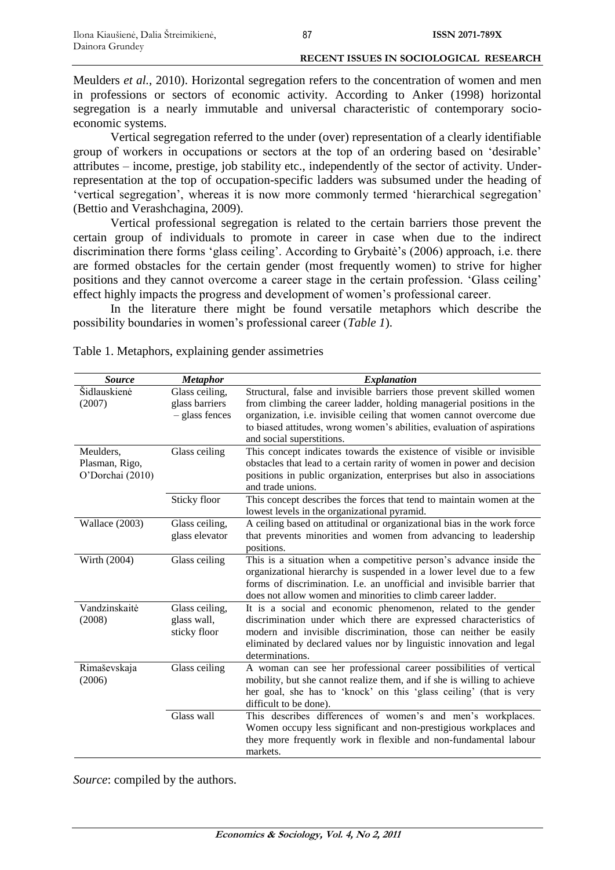Meulders *et al.*, 2010). Horizontal segregation refers to the concentration of women and men in professions or sectors of economic activity. According to Anker (1998) horizontal segregation is a nearly immutable and universal characteristic of contemporary socioeconomic systems.

Vertical segregation referred to the under (over) representation of a clearly identifiable group of workers in occupations or sectors at the top of an ordering based on 'desirable' attributes – income, prestige, job stability etc., independently of the sector of activity. Underrepresentation at the top of occupation-specific ladders was subsumed under the heading of 'vertical segregation', whereas it is now more commonly termed 'hierarchical segregation' (Bettio and Verashchagina, 2009).

Vertical professional segregation is related to the certain barriers those prevent the certain group of individuals to promote in career in case when due to the indirect discrimination there forms 'glass ceiling'. According to Grybaitė's (2006) approach, i.e. there are formed obstacles for the certain gender (most frequently women) to strive for higher positions and they cannot overcome a career stage in the certain profession. 'Glass ceiling' effect highly impacts the progress and development of women's professional career.

In the literature there might be found versatile metaphors which describe the possibility boundaries in women's professional career (*Table 1*).

| <b>Source</b>                                   | <b>Metaphor</b>                                    | <b>Explanation</b>                                                                                                                                                                                                                                                                                                          |
|-------------------------------------------------|----------------------------------------------------|-----------------------------------------------------------------------------------------------------------------------------------------------------------------------------------------------------------------------------------------------------------------------------------------------------------------------------|
| Šidlauskienė<br>(2007)                          | Glass ceiling,<br>glass barriers<br>- glass fences | Structural, false and invisible barriers those prevent skilled women<br>from climbing the career ladder, holding managerial positions in the<br>organization, i.e. invisible ceiling that women cannot overcome due<br>to biased attitudes, wrong women's abilities, evaluation of aspirations<br>and social superstitions. |
| Meulders,<br>Plasman, Rigo,<br>O'Dorchai (2010) | Glass ceiling                                      | This concept indicates towards the existence of visible or invisible<br>obstacles that lead to a certain rarity of women in power and decision<br>positions in public organization, enterprises but also in associations<br>and trade unions.                                                                               |
|                                                 | Sticky floor                                       | This concept describes the forces that tend to maintain women at the<br>lowest levels in the organizational pyramid.                                                                                                                                                                                                        |
| Wallace (2003)                                  | Glass ceiling,<br>glass elevator                   | A ceiling based on attitudinal or organizational bias in the work force<br>that prevents minorities and women from advancing to leadership<br>positions.                                                                                                                                                                    |
| Wirth (2004)                                    | Glass ceiling                                      | This is a situation when a competitive person's advance inside the<br>organizational hierarchy is suspended in a lower level due to a few<br>forms of discrimination. I.e. an unofficial and invisible barrier that<br>does not allow women and minorities to climb career ladder.                                          |
| Vandzinskaitė<br>(2008)                         | Glass ceiling,<br>glass wall,<br>sticky floor      | It is a social and economic phenomenon, related to the gender<br>discrimination under which there are expressed characteristics of<br>modern and invisible discrimination, those can neither be easily<br>eliminated by declared values nor by linguistic innovation and legal<br>determinations.                           |
| Rimaševskaja<br>(2006)                          | Glass ceiling                                      | A woman can see her professional career possibilities of vertical<br>mobility, but she cannot realize them, and if she is willing to achieve<br>her goal, she has to 'knock' on this 'glass ceiling' (that is very<br>difficult to be done).                                                                                |
|                                                 | Glass wall                                         | This describes differences of women's and men's workplaces.<br>Women occupy less significant and non-prestigious workplaces and<br>they more frequently work in flexible and non-fundamental labour<br>markets.                                                                                                             |

Table 1. Metaphors, explaining gender assimetries

*Source*: compiled by the authors.

87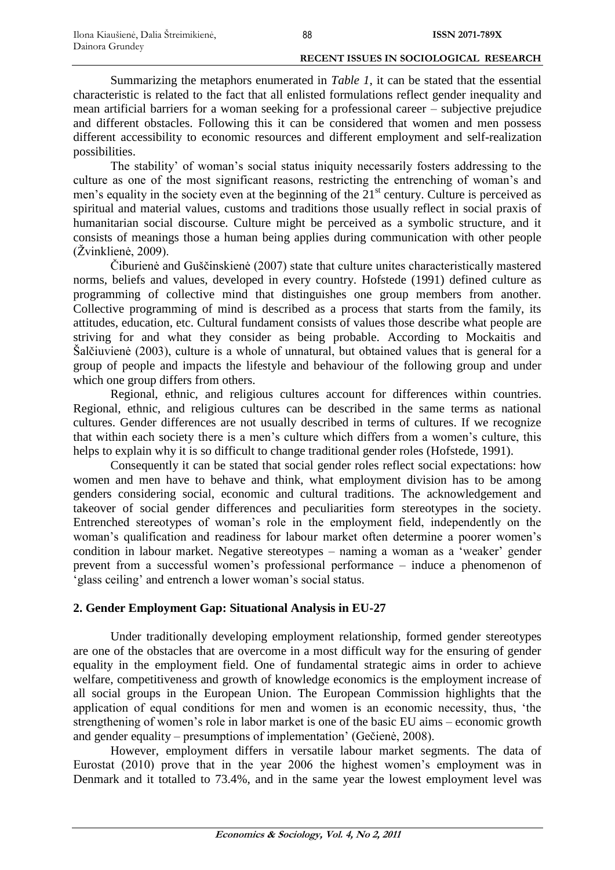Summarizing the metaphors enumerated in *Table 1*, it can be stated that the essential characteristic is related to the fact that all enlisted formulations reflect gender inequality and mean artificial barriers for a woman seeking for a professional career – subjective prejudice and different obstacles. Following this it can be considered that women and men possess different accessibility to economic resources and different employment and self-realization possibilities.

The stability' of woman's social status iniquity necessarily fosters addressing to the culture as one of the most significant reasons, restricting the entrenching of woman's and men's equality in the society even at the beginning of the  $21<sup>st</sup>$  century. Culture is perceived as spiritual and material values, customs and traditions those usually reflect in social praxis of humanitarian social discourse. Culture might be perceived as a symbolic structure, and it consists of meanings those a human being applies during communication with other people  $(Zvinklien\`{e}, 2009)$ .

Čiburienė and Guščinskienė (2007) state that culture unites characteristically mastered norms, beliefs and values, developed in every country. Hofstede (1991) defined culture as programming of collective mind that distinguishes one group members from another. Collective programming of mind is described as a process that starts from the family, its attitudes, education, etc. Cultural fundament consists of values those describe what people are striving for and what they consider as being probable. According to Mockaitis and Šalčiuvienė (2003), culture is a whole of unnatural, but obtained values that is general for a group of people and impacts the lifestyle and behaviour of the following group and under which one group differs from others.

Regional, ethnic, and religious cultures account for differences within countries. Regional, ethnic, and religious cultures can be described in the same terms as national cultures. Gender differences are not usually described in terms of cultures. If we recognize that within each society there is a men's culture which differs from a women's culture, this helps to explain why it is so difficult to change traditional gender roles (Hofstede, 1991).

Consequently it can be stated that social gender roles reflect social expectations: how women and men have to behave and think, what employment division has to be among genders considering social, economic and cultural traditions. The acknowledgement and takeover of social gender differences and peculiarities form stereotypes in the society. Entrenched stereotypes of woman's role in the employment field, independently on the woman's qualification and readiness for labour market often determine a poorer women's condition in labour market. Negative stereotypes – naming a woman as a 'weaker' gender prevent from a successful women's professional performance – induce a phenomenon of 'glass ceiling' and entrench a lower woman's social status.

# **2. Gender Employment Gap: Situational Analysis in EU-27**

Under traditionally developing employment relationship, formed gender stereotypes are one of the obstacles that are overcome in a most difficult way for the ensuring of gender equality in the employment field. One of fundamental strategic aims in order to achieve welfare, competitiveness and growth of knowledge economics is the employment increase of all social groups in the European Union. The European Commission highlights that the application of equal conditions for men and women is an economic necessity, thus, 'the strengthening of women's role in labor market is one of the basic EU aims – economic growth and gender equality – presumptions of implementation' (Gečienė, 2008).

However, employment differs in versatile labour market segments. The data of Eurostat (2010) prove that in the year 2006 the highest women's employment was in Denmark and it totalled to 73.4%, and in the same year the lowest employment level was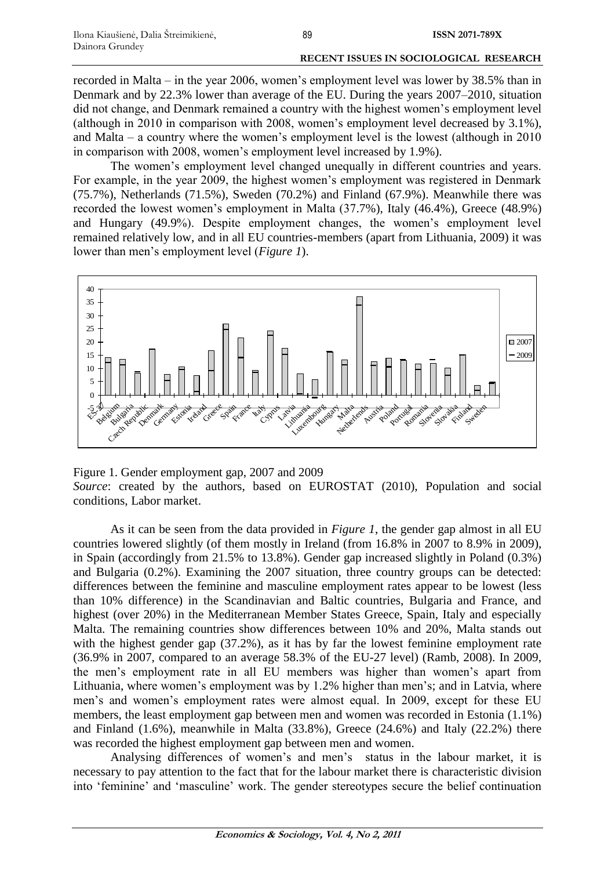recorded in Malta – in the year 2006, women's employment level was lower by 38.5% than in Denmark and by 22.3% lower than average of the EU. During the years 2007–2010, situation did not change, and Denmark remained a country with the highest women's employment level (although in 2010 in comparison with 2008, women's employment level decreased by 3.1%), and Malta – a country where the women's employment level is the lowest (although in 2010 in comparison with 2008, women's employment level increased by 1.9%).

The women's employment level changed unequally in different countries and years. For example, in the year 2009, the highest women's employment was registered in Denmark (75.7%), Netherlands (71.5%), Sweden (70.2%) and Finland (67.9%). Meanwhile there was recorded the lowest women's employment in Malta (37.7%), Italy (46.4%), Greece (48.9%) and Hungary (49.9%). Despite employment changes, the women's employment level remained relatively low, and in all EU countries-members (apart from Lithuania, 2009) it was lower than men's employment level (*Figure 1*).



Figure 1. Gender employment gap, 2007 and 2009 *Source*: created by the authors, based on EUROSTAT (2010), Population and social conditions, Labor market.

As it can be seen from the data provided in *Figure 1*, the gender gap almost in all EU countries lowered slightly (of them mostly in Ireland (from 16.8% in 2007 to 8.9% in 2009), in Spain (accordingly from 21.5% to 13.8%). Gender gap increased slightly in Poland (0.3%) and Bulgaria (0.2%). Examining the 2007 situation, three country groups can be detected: differences between the feminine and masculine employment rates appear to be lowest (less than 10% difference) in the Scandinavian and Baltic countries, Bulgaria and France, and highest (over 20%) in the Mediterranean Member States Greece, Spain, Italy and especially Malta. The remaining countries show differences between 10% and 20%, Malta stands out with the highest gender gap (37.2%), as it has by far the lowest feminine employment rate (36.9% in 2007, compared to an average 58.3% of the EU-27 level) (Ramb, 2008). In 2009, the men's employment rate in all EU members was higher than women's apart from Lithuania, where women's employment was by 1.2% higher than men's; and in Latvia, where men's and women's employment rates were almost equal. In 2009, except for these EU members, the least employment gap between men and women was recorded in Estonia (1.1%) and Finland  $(1.6\%)$ , meanwhile in Malta  $(33.8\%)$ , Greece  $(24.6\%)$  and Italy  $(22.2\%)$  there was recorded the highest employment gap between men and women.

Analysing differences of women's and men's status in the labour market, it is necessary to pay attention to the fact that for the labour market there is characteristic division into 'feminine' and 'masculine' work. The gender stereotypes secure the belief continuation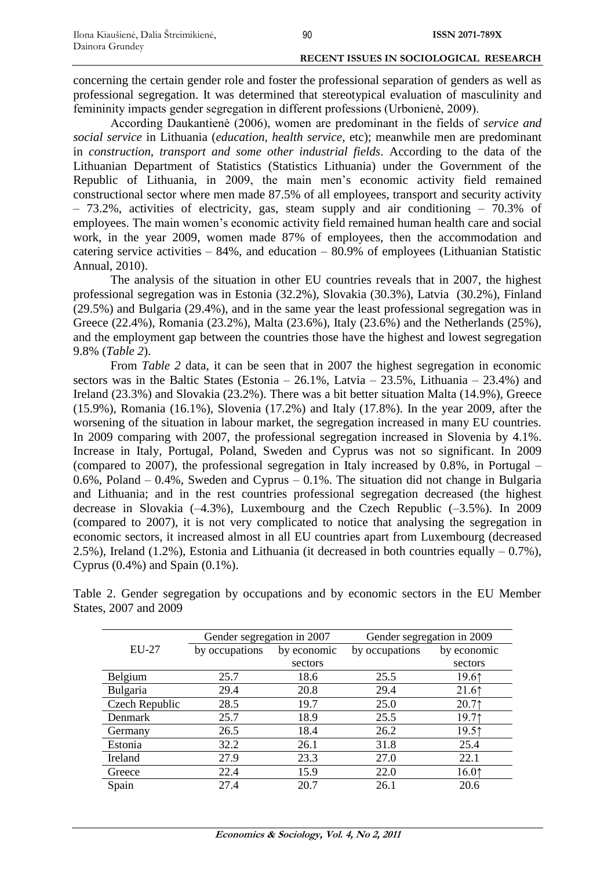concerning the certain gender role and foster the professional separation of genders as well as professional segregation. It was determined that stereotypical evaluation of masculinity and femininity impacts gender segregation in different professions (Urbonienė, 2009).

According Daukantienė (2006), women are predominant in the fields of *service and social service* in Lithuania (*education, health service*, etc); meanwhile men are predominant in *construction, transport and some other industrial fields*. According to the data of the Lithuanian Department of Statistics (Statistics Lithuania) under the Government of the Republic of Lithuania, in 2009, the main men's economic activity field remained constructional sector where men made 87.5% of all employees, transport and security activity – 73.2%, activities of electricity, gas, steam supply and air conditioning – 70.3% of employees. The main women's economic activity field remained human health care and social work, in the year 2009, women made 87% of employees, then the accommodation and catering service activities  $-84\%$ , and education  $-80.9\%$  of employees (Lithuanian Statistic Annual, 2010).

The analysis of the situation in other EU countries reveals that in 2007, the highest professional segregation was in Estonia (32.2%), Slovakia (30.3%), Latvia (30.2%), Finland (29.5%) and Bulgaria (29.4%), and in the same year the least professional segregation was in Greece (22.4%), Romania (23.2%), Malta (23.6%), Italy (23.6%) and the Netherlands (25%), and the employment gap between the countries those have the highest and lowest segregation 9.8% (*Table 2*).

From *Table 2* data, it can be seen that in 2007 the highest segregation in economic sectors was in the Baltic States (Estonia –  $26.1\%$ , Latvia –  $23.5\%$ , Lithuania –  $23.4\%$ ) and Ireland (23.3%) and Slovakia (23.2%). There was a bit better situation Malta (14.9%), Greece (15.9%), Romania (16.1%), Slovenia (17.2%) and Italy (17.8%). In the year 2009, after the worsening of the situation in labour market, the segregation increased in many EU countries. In 2009 comparing with 2007, the professional segregation increased in Slovenia by 4.1%. Increase in Italy, Portugal, Poland, Sweden and Cyprus was not so significant. In 2009 (compared to 2007), the professional segregation in Italy increased by 0.8%, in Portugal – 0.6%, Poland – 0.4%, Sweden and Cyprus – 0.1%. The situation did not change in Bulgaria and Lithuania; and in the rest countries professional segregation decreased (the highest decrease in Slovakia  $(-4.3\%)$ , Luxembourg and the Czech Republic  $(-3.5\%)$ . In 2009 (compared to 2007), it is not very complicated to notice that analysing the segregation in economic sectors, it increased almost in all EU countries apart from Luxembourg (decreased 2.5%), Ireland (1.2%), Estonia and Lithuania (it decreased in both countries equally  $-0.7\%$ ), Cyprus (0.4%) and Spain (0.1%).

|                | Gender segregation in 2007 |             | Gender segregation in 2009 |                     |
|----------------|----------------------------|-------------|----------------------------|---------------------|
| $EU-27$        | by occupations             | by economic | by occupations             | by economic         |
|                |                            | sectors     |                            | sectors             |
| Belgium        | 25.7                       | 18.6        | 25.5                       | 19.61               |
| Bulgaria       | 29.4                       | 20.8        | 29.4                       | $21.6$ <sup>↑</sup> |
| Czech Republic | 28.5                       | 19.7        | 25.0                       | 20.7                |
| Denmark        | 25.7                       | 18.9        | 25.5                       | 19.71               |
| Germany        | 26.5                       | 18.4        | 26.2                       | 19.51               |
| Estonia        | 32.2                       | 26.1        | 31.8                       | 25.4                |
| Ireland        | 27.9                       | 23.3        | 27.0                       | 22.1                |
| Greece         | 22.4                       | 15.9        | 22.0                       | 16.01               |
| Spain          | 27.4                       | 20.7        | 26.1                       | 20.6                |

Table 2. Gender segregation by occupations and by economic sectors in the EU Member States, 2007 and 2009

90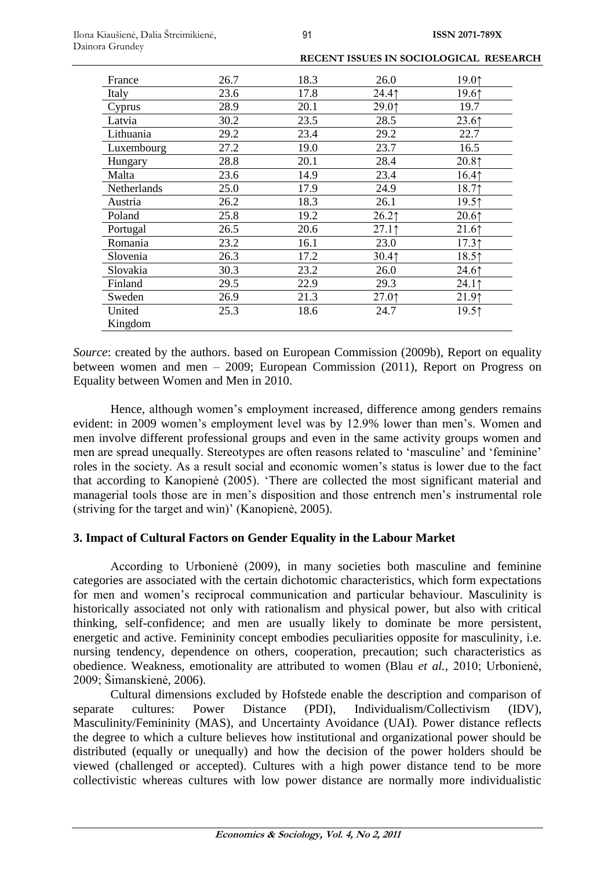| France      | 26.7 | 18.3 | 26.0     | 19.01    |
|-------------|------|------|----------|----------|
| Italy       | 23.6 | 17.8 | 24.41    | 19.61    |
| Cyprus      | 28.9 | 20.1 | 29.01    | 19.7     |
| Latvia      | 30.2 | 23.5 | 28.5     | 23.61    |
| Lithuania   | 29.2 | 23.4 | 29.2     | 22.7     |
| Luxembourg  | 27.2 | 19.0 | 23.7     | 16.5     |
| Hungary     | 28.8 | 20.1 | 28.4     | 20.81    |
| Malta       | 23.6 | 14.9 | 23.4     | 16.41    |
| Netherlands | 25.0 | 17.9 | 24.9     | 18.71    |
| Austria     | 26.2 | 18.3 | 26.1     | 19.51    |
| Poland      | 25.8 | 19.2 | $26.2$ 1 | $20.6$ ↑ |
| Portugal    | 26.5 | 20.6 | $27.1$ 1 | 21.6     |
| Romania     | 23.2 | 16.1 | 23.0     | $17.3$ 1 |
| Slovenia    | 26.3 | 17.2 | 30.41    | 18.51    |
| Slovakia    | 30.3 | 23.2 | 26.0     | 24.6     |
| Finland     | 29.5 | 22.9 | 29.3     | 24.1     |
| Sweden      | 26.9 | 21.3 | 27.01    | 21.91    |
| United      | 25.3 | 18.6 | 24.7     | 19.51    |
| Kingdom     |      |      |          |          |

*Source*: created by the authors. based on European Commission (2009b), Report on equality between women and men – 2009; European Commission (2011), Report on Progress on Equality between Women and Men in 2010.

Hence, although women's employment increased, difference among genders remains evident: in 2009 women's employment level was by 12.9% lower than men's. Women and men involve different professional groups and even in the same activity groups women and men are spread unequally. Stereotypes are often reasons related to 'masculine' and 'feminine' roles in the society. As a result social and economic women's status is lower due to the fact that according to Kanopienė (2005). 'There are collected the most significant material and managerial tools those are in men's disposition and those entrench men's instrumental role (striving for the target and win)' (Kanopienė, 2005).

# **3. Impact of Cultural Factors on Gender Equality in the Labour Market**

According to Urbonienė (2009), in many societies both masculine and feminine categories are associated with the certain dichotomic characteristics, which form expectations for men and women's reciprocal communication and particular behaviour. Masculinity is historically associated not only with rationalism and physical power, but also with critical thinking, self-confidence; and men are usually likely to dominate be more persistent, energetic and active. Femininity concept embodies peculiarities opposite for masculinity, i.e. nursing tendency, dependence on others, cooperation, precaution; such characteristics as obedience. Weakness, emotionality are attributed to women (Blau *et al.*, 2010; Urbonienė, 2009; Šimanskienė, 2006).

Cultural dimensions excluded by Hofstede enable the description and comparison of separate cultures: Power Distance (PDI), Individualism/Collectivism (IDV), Masculinity/Femininity (MAS), and Uncertainty Avoidance (UAI). Power distance reflects the degree to which a culture believes how institutional and organizational power should be distributed (equally or unequally) and how the decision of the power holders should be viewed (challenged or accepted). Cultures with a high power distance tend to be more collectivistic whereas cultures with low power distance are normally more individualistic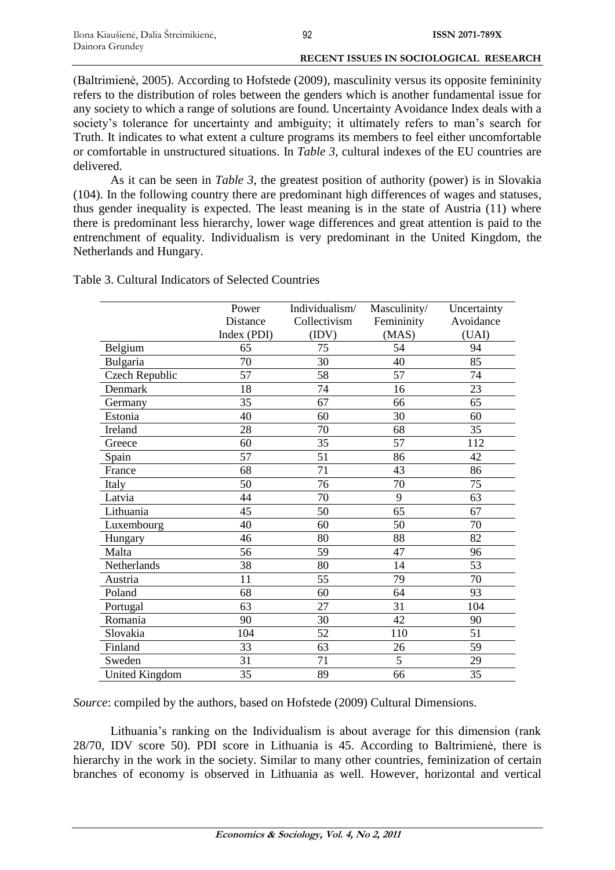(Baltrimienė, 2005). According to Hofstede (2009), masculinity versus its opposite femininity refers to the distribution of roles between the genders which is another fundamental issue for any society to which a range of solutions are found. Uncertainty Avoidance Index deals with a society's tolerance for uncertainty and ambiguity; it ultimately refers to man's search for Truth. It indicates to what extent a culture programs its members to feel either uncomfortable or comfortable in unstructured situations. In *Table 3*, cultural indexes of the EU countries are delivered.

As it can be seen in *Table 3*, the greatest position of authority (power) is in Slovakia (104). In the following country there are predominant high differences of wages and statuses, thus gender inequality is expected. The least meaning is in the state of Austria (11) where there is predominant less hierarchy, lower wage differences and great attention is paid to the entrenchment of equality. Individualism is very predominant in the United Kingdom, the Netherlands and Hungary.

|                       | Power       | Individualism/ | Masculinity/ | Uncertainty |
|-----------------------|-------------|----------------|--------------|-------------|
|                       | Distance    | Collectivism   | Femininity   | Avoidance   |
|                       | Index (PDI) | (IDV)          | (MAS)        | (UAI)       |
| Belgium               | 65          | 75             | 54           | 94          |
| Bulgaria              | 70          | 30             | 40           | 85          |
| Czech Republic        | 57          | 58             | 57           | 74          |
| Denmark               | 18          | 74             | 16           | 23          |
| Germany               | 35          | 67             | 66           | 65          |
| Estonia               | 40          | 60             | 30           | 60          |
| Ireland               | 28          | 70             | 68           | 35          |
| Greece                | 60          | 35             | 57           | 112         |
| Spain                 | 57          | 51             | 86           | 42          |
| France                | 68          | 71             | 43           | 86          |
| Italy                 | 50          | 76             | 70           | 75          |
| Latvia                | 44          | 70             | 9            | 63          |
| Lithuania             | 45          | 50             | 65           | 67          |
| Luxembourg            | 40          | 60             | 50           | 70          |
| Hungary               | 46          | 80             | 88           | 82          |
| Malta                 | 56          | 59             | 47           | 96          |
| Netherlands           | 38          | 80             | 14           | 53          |
| Austria               | 11          | 55             | 79           | 70          |
| Poland                | 68          | 60             | 64           | 93          |
| Portugal              | 63          | 27             | 31           | 104         |
| Romania               | 90          | 30             | 42           | 90          |
| Slovakia              | 104         | 52             | 110          | 51          |
| Finland               | 33          | 63             | 26           | 59          |
| Sweden                | 31          | 71             | 5            | 29          |
| <b>United Kingdom</b> | 35          | 89             | 66           | 35          |

Table 3. Cultural Indicators of Selected Countries

*Source*: compiled by the authors, based on Hofstede (2009) Cultural Dimensions.

Lithuania's ranking on the Individualism is about average for this dimension (rank 28/70, IDV score 50). PDI score in Lithuania is 45. According to Baltrimienė, there is hierarchy in the work in the society. Similar to many other countries, feminization of certain branches of economy is observed in Lithuania as well. However, horizontal and vertical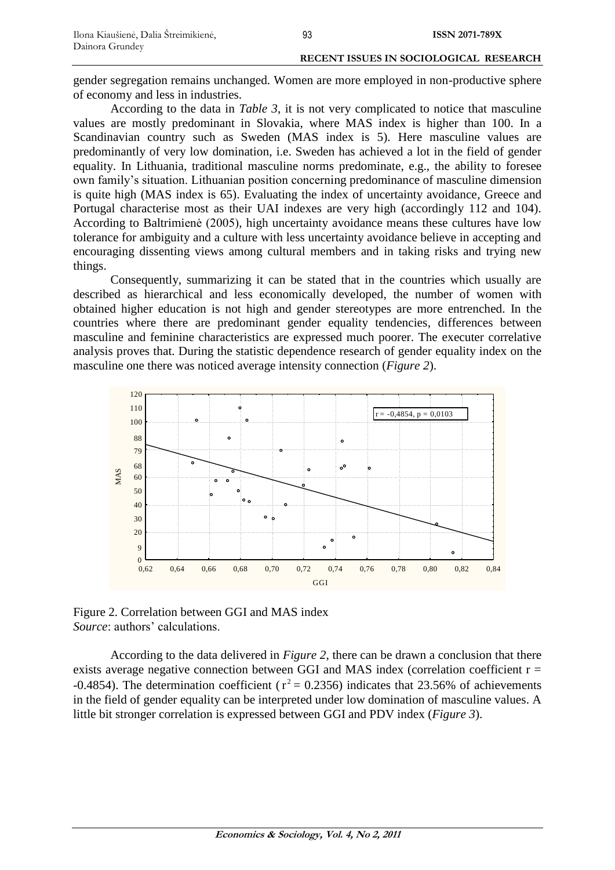gender segregation remains unchanged. Women are more employed in non-productive sphere of economy and less in industries.

According to the data in *Table 3*, it is not very complicated to notice that masculine values are mostly predominant in Slovakia, where MAS index is higher than 100. In a Scandinavian country such as Sweden (MAS index is 5). Here masculine values are predominantly of very low domination, i.e. Sweden has achieved a lot in the field of gender equality. In Lithuania, traditional masculine norms predominate, e.g., the ability to foresee own family's situation. Lithuanian position concerning predominance of masculine dimension is quite high (MAS index is 65). Evaluating the index of uncertainty avoidance, Greece and Portugal characterise most as their UAI indexes are very high (accordingly 112 and 104). According to Baltrimienė (2005), high uncertainty avoidance means these cultures have low tolerance for ambiguity and a culture with less uncertainty avoidance believe in accepting and encouraging dissenting views among cultural members and in taking risks and trying new things.

Consequently, summarizing it can be stated that in the countries which usually are described as hierarchical and less economically developed, the number of women with obtained higher education is not high and gender stereotypes are more entrenched. In the countries where there are predominant gender equality tendencies, differences between masculine and feminine characteristics are expressed much poorer. The executer correlative analysis proves that. During the statistic dependence research of gender equality index on the masculine one there was noticed average intensity connection (*Figure 2*).



Figure 2. Correlation between GGI and MAS index *Source*: authors' calculations.

According to the data delivered in *Figure 2*, there can be drawn a conclusion that there exists average negative connection between GGI and MAS index (correlation coefficient  $r =$ -0.4854). The determination coefficient ( $r^2$  = 0.2356) indicates that 23.56% of achievements in the field of gender equality can be interpreted under low domination of masculine values. A little bit stronger correlation is expressed between GGI and PDV index (*Figure 3*).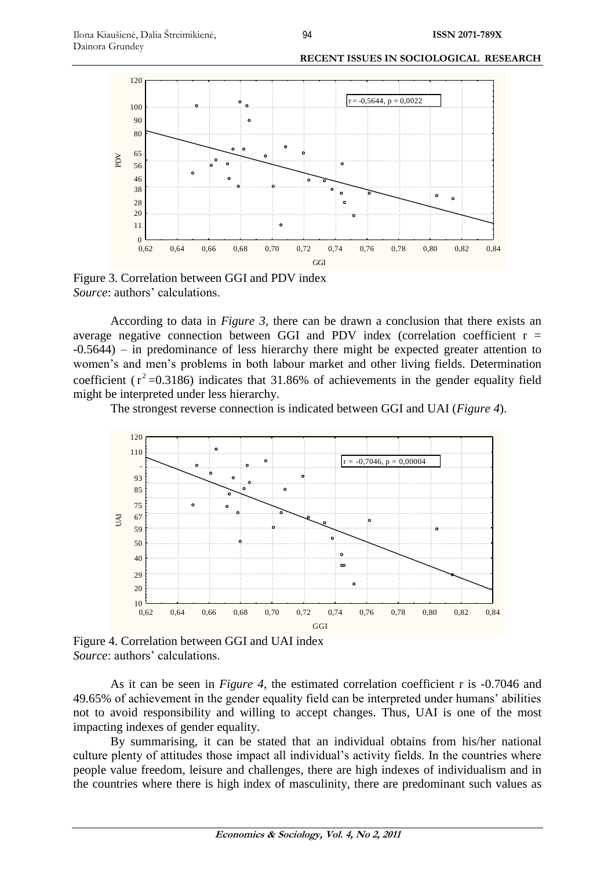

Figure 3. Correlation between GGI and PDV index *Source*: authors' calculations.

According to data in *Figure 3,* there can be drawn a conclusion that there exists an average negative connection between GGI and PDV index (correlation coefficient  $r =$ -0.5644) – in predominance of less hierarchy there might be expected greater attention to women's and men's problems in both labour market and other living fields. Determination coefficient ( $r^2$  =0.3186) indicates that 31.86% of achievements in the gender equality field might be interpreted under less hierarchy.

The strongest reverse connection is indicated between GGI and UAI (*Figure 4*).



Figure 4. Correlation between GGI and UAI index *Source*: authors' calculations.

As it can be seen in *Figure 4*, the estimated correlation coefficient r is -0.7046 and 49.65% of achievement in the gender equality field can be interpreted under humans' abilities not to avoid responsibility and willing to accept changes. Thus, UAI is one of the most impacting indexes of gender equality.

By summarising, it can be stated that an individual obtains from his/her national culture plenty of attitudes those impact all individual's activity fields. In the countries where people value freedom, leisure and challenges, there are high indexes of individualism and in the countries where there is high index of masculinity, there are predominant such values as

94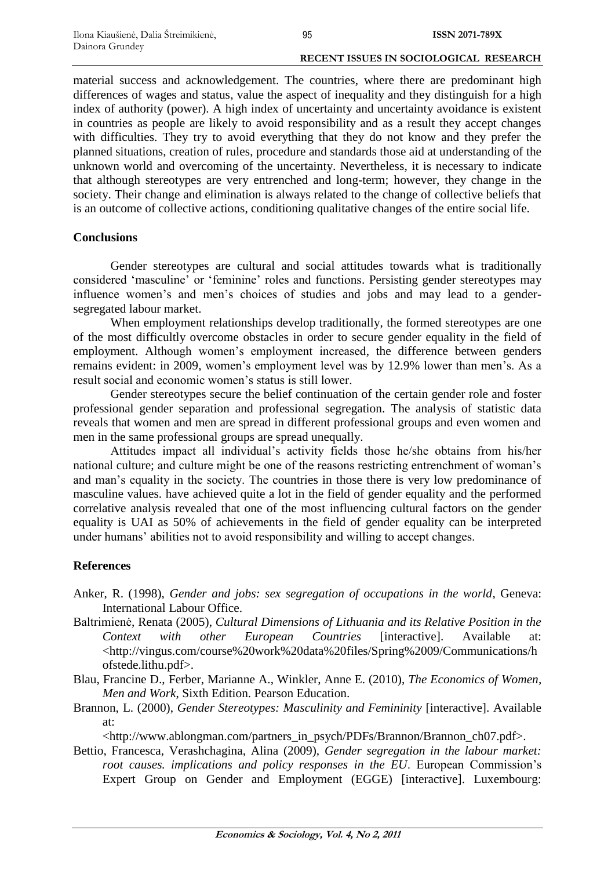material success and acknowledgement. The countries, where there are predominant high differences of wages and status, value the aspect of inequality and they distinguish for a high index of authority (power). A high index of uncertainty and uncertainty avoidance is existent in countries as people are likely to avoid responsibility and as a result they accept changes with difficulties. They try to avoid everything that they do not know and they prefer the planned situations, creation of rules, procedure and standards those aid at understanding of the unknown world and overcoming of the uncertainty. Nevertheless, it is necessary to indicate that although stereotypes are very entrenched and long-term; however, they change in the society. Their change and elimination is always related to the change of collective beliefs that is an outcome of collective actions, conditioning qualitative changes of the entire social life.

### **Conclusions**

Gender stereotypes are cultural and social attitudes towards what is traditionally considered 'masculine' or 'feminine' roles and functions. Persisting gender stereotypes may influence women's and men's choices of studies and jobs and may lead to a gendersegregated labour market.

When employment relationships develop traditionally, the formed stereotypes are one of the most difficultly overcome obstacles in order to secure gender equality in the field of employment. Although women's employment increased, the difference between genders remains evident: in 2009, women's employment level was by 12.9% lower than men's. As a result social and economic women's status is still lower.

Gender stereotypes secure the belief continuation of the certain gender role and foster professional gender separation and professional segregation. The analysis of statistic data reveals that women and men are spread in different professional groups and even women and men in the same professional groups are spread unequally.

Attitudes impact all individual's activity fields those he/she obtains from his/her national culture; and culture might be one of the reasons restricting entrenchment of woman's and man's equality in the society. The countries in those there is very low predominance of masculine values. have achieved quite a lot in the field of gender equality and the performed correlative analysis revealed that one of the most influencing cultural factors on the gender equality is UAI as 50% of achievements in the field of gender equality can be interpreted under humans' abilities not to avoid responsibility and willing to accept changes.

# **References**

- Anker, R. (1998), *Gender and jobs: sex segregation of occupations in the world*, Geneva: International Labour Office.
- Baltrimienė, Renata (2005), *Cultural Dimensions of Lithuania and its Relative Position in the Context with other European Countries* [interactive]. Available at: [<http://vingus.com/course%20work%20data%20files/Spring%2009/Communications/h](http://vingus.com/course%20work%20data%20files/Spring%2009/Communications/hofstede.lithu.pdf) [ofstede.lithu.pdf>](http://vingus.com/course%20work%20data%20files/Spring%2009/Communications/hofstede.lithu.pdf).
- Blau, Francine D., Ferber, Marianne A., Winkler, Anne E. (2010), *The Economics of Women, Men and Work*, Sixth Edition. Pearson Education.
- Brannon, L. (2000), *Gender Stereotypes: Masculinity and Femininity* [interactive]. Available at:

[<http://www.ablongman.com/partners\\_in\\_psych/PDFs/Brannon/Brannon\\_ch07.pdf>.](http://www.ablongman.com/partners_in_psych/PDFs/Brannon/Brannon_ch07.pdf%3e)

Bettio, Francesca, Verashchagina, Alina (2009), *Gender segregation in the labour market: root causes. implications and policy responses in the EU*. European Commission's Expert Group on Gender and Employment (EGGE) [interactive]. Luxembourg: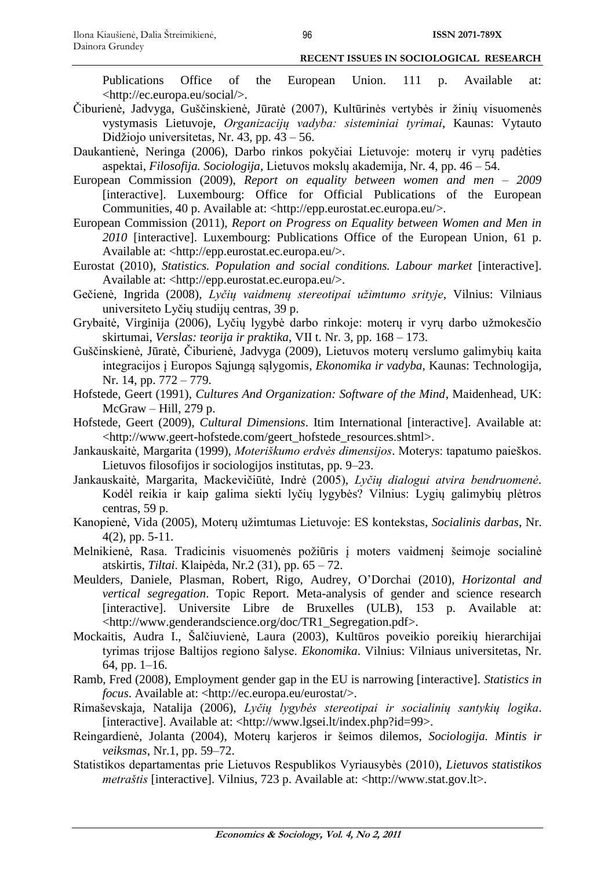Publications Office of the European Union. 111 p. Available at: [<http://ec.europa.eu/social/>](http://ec.europa.eu/social/).

- Čiburienė, Jadvyga, Guščinskienė, Jūratė (2007), Kultūrinės vertybės ir žinių visuomenės vystymasis Lietuvoje, *Organizacijų vadyba: sisteminiai tyrimai*, Kaunas: Vytauto Didžiojo universitetas, Nr. 43, pp.  $43 - 56$ .
- Daukantienė, Neringa (2006), Darbo rinkos pokyčiai Lietuvoje: moterų ir vyrų padėties aspektai, *Filosofija. Sociologija*, Lietuvos mokslų akademija, Nr. 4, pp. 46 – 54.
- European Commission (2009), *Report on equality between women and men – 2009* [interactive]. Luxembourg: Office for Official Publications of the European Communities, 40 p. Available at: [<http://epp.eurostat.ec.europa.eu/>](http://epp.eurostat.ec.europa.eu/).
- European Commission (2011), *Report on Progress on Equality between Women and Men in 2010* [interactive]. Luxembourg: Publications Office of the European Union, 61 p. Available at: [<http://epp.eurostat.ec.europa.eu/>](http://epp.eurostat.ec.europa.eu/).
- Eurostat (2010), *Statistics. Population and social conditions. Labour market* [interactive]. Available at: [<http://epp.eurostat.ec.europa.eu/>](http://epp.eurostat.ec.europa.eu/).
- Gečienė, Ingrida (2008), *Lyčių vaidmenų stereotipai užimtumo srityje*, Vilnius: Vilniaus universiteto Lyčių studijų centras, 39 p.
- Grybaitė, Virginija (2006), Lyčių lygybė darbo rinkoje: moterų ir vyrų darbo užmokesčio skirtumai, *Verslas: teorija ir praktika*, VII t. Nr. 3, pp. 168 – 173.
- Guščinskienė, Jūratė, Čiburienė, Jadvyga (2009), Lietuvos moterų verslumo galimybių kaita integracijos į Europos Sąjungą sąlygomis, *Ekonomika ir vadyba*, Kaunas: Technologija, Nr. 14, pp. 772 – 779.
- Hofstede, Geert (1991), *Cultures And Organization: Software of the Mind*, Maidenhead, UK: McGraw – Hill, 279 p.
- Hofstede, Geert (2009), *Cultural Dimensions*. Itim International [interactive]. Available at: [<http://www.geert-hofstede.com/geert\\_hofstede\\_resources.shtml>](http://www.geert-hofstede.com/geert_hofstede_resources.shtml).
- Jankauskaitė, Margarita (1999), *Moteriškumo erdvės dimensijos*. Moterys: tapatumo paieškos. Lietuvos filosofijos ir sociologijos institutas, pp. 9–23.
- Jankauskaitė, Margarita, Mackevičiūtė, Indrė (2005), *Lyčių dialogui atvira bendruomenė*. Kodėl reikia ir kaip galima siekti lyčių lygybės? Vilnius: Lygių galimybių plėtros centras, 59 p.
- Kanopienė, Vida (2005), Moterų užimtumas Lietuvoje: ES kontekstas, *Socialinis darbas*, Nr. 4(2), pp. 5-11.
- Melnikienė, Rasa. Tradicinis visuomenės požiūris į moters vaidmenį šeimoje socialinė atskirtis, *Tiltai*. Klaipėda, Nr.2 (31), pp. 65 – 72.
- Meulders, Daniele, Plasman, Robert, Rigo, Audrey, O'Dorchai (2010), *Horizontal and vertical segregation*. Topic Report. Meta-analysis of gender and science research [interactive]. Universite Libre de Bruxelles (ULB), 153 p. Available at: [<http://www.genderandscience.org/doc/TR1\\_Segregation.pdf>](http://www.genderandscience.org/doc/TR1_Segregation.pdf).
- Mockaitis, Audra I., Šalčiuvienė, Laura (2003), Kultūros poveikio poreikių hierarchijai tyrimas trijose Baltijos regiono šalyse. *Ekonomika*. Vilnius: Vilniaus universitetas, Nr. 64, pp. 1–16.
- Ramb, Fred (2008), Employment gender gap in the EU is narrowing [interactive]. *Statistics in focus*. Available at: [<http://ec.europa.eu/eurostat/>](http://ec.europa.eu/eurostat/).
- Rimaševskaja, Natalija (2006), *Lyčių lygybės stereotipai ir socialinių santykių logika*. [interactive]. Available at: <http://www.lgsei.lt/index.php?id=99>.
- Reingardienė, Jolanta (2004), Moterų karjeros ir šeimos dilemos, *Sociologija. Mintis ir veiksmas*, Nr.1, pp. 59–72.
- Statistikos departamentas prie Lietuvos Respublikos Vyriausybės (2010), *Lietuvos statistikos metraštis* [interactive]. Vilnius, 723 p. Available at: [<http://www.](http://www/)stat.gov.lt>.